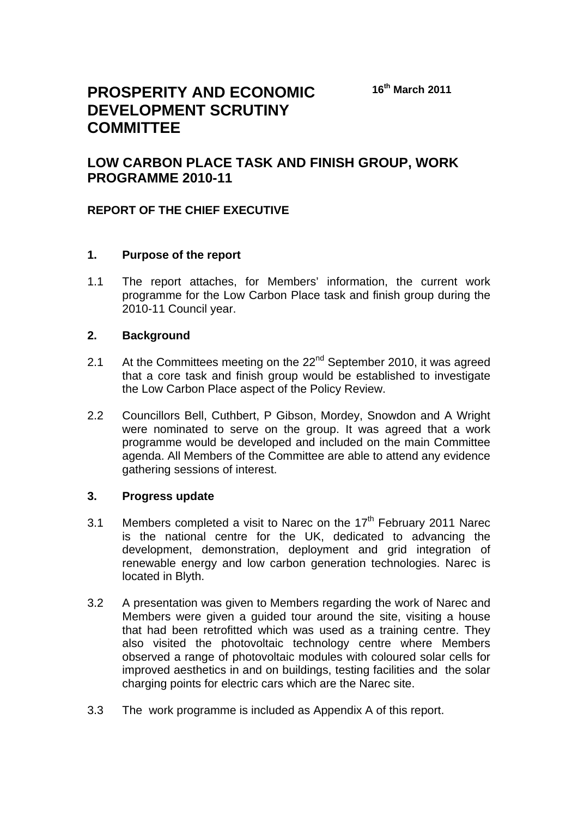# **PROSPERITY AND ECONOMIC DEVELOPMENT SCRUTINY COMMITTEE**

## **LOW CARBON PLACE TASK AND FINISH GROUP, WORK PROGRAMME 2010-11**

### **REPORT OF THE CHIEF EXECUTIVE**

#### **1. Purpose of the report**

1.1 The report attaches, for Members' information, the current work programme for the Low Carbon Place task and finish group during the 2010-11 Council year.

#### **2. Background**

- 2.1 At the Committees meeting on the  $22<sup>nd</sup>$  September 2010, it was agreed that a core task and finish group would be established to investigate the Low Carbon Place aspect of the Policy Review.
- 2.2 Councillors Bell, Cuthbert, P Gibson, Mordey, Snowdon and A Wright were nominated to serve on the group. It was agreed that a work programme would be developed and included on the main Committee agenda. All Members of the Committee are able to attend any evidence gathering sessions of interest.

#### **3. Progress update**

- 3.1 Members completed a visit to Narec on the  $17<sup>th</sup>$  February 2011 Narec is the national centre for the UK, dedicated to advancing the development, demonstration, deployment and grid integration of renewable energy and low carbon generation technologies. Narec is located in Blyth.
- 3.2 A presentation was given to Members regarding the work of Narec and Members were given a guided tour around the site, visiting a house that had been retrofitted which was used as a training centre. They also visited the photovoltaic technology centre where Members observed a range of photovoltaic modules with coloured solar cells for improved aesthetics in and on buildings, testing facilities and the solar charging points for electric cars which are the Narec site.
- 3.3 The work programme is included as Appendix A of this report.